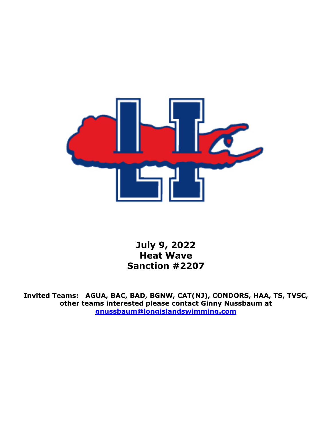

**July 9, 2022 Heat Wave Sanction #2207** 

**Invited Teams: AGUA, BAC, BAD, BGNW, CAT(NJ), CONDORS, HAA, TS, TVSC, other teams interested please contact Ginny Nussbaum at [gnussbaum@longislandswimming.com](mailto:gnussbaum@longislandswimming.com)**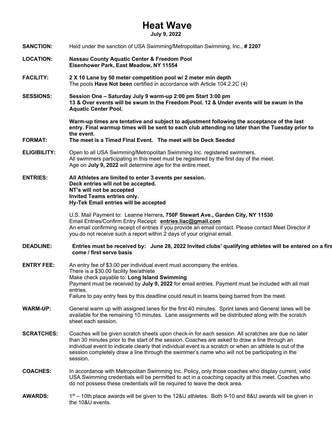# **Heat Wave**

**July 9, 2022** 

| <b>SANCTION:</b>    | Held under the sanction of USA Swimming/Metropolitan Swimming, Inc., #2207                                                                                                                                                                                                                                                                                                                                                      |  |  |
|---------------------|---------------------------------------------------------------------------------------------------------------------------------------------------------------------------------------------------------------------------------------------------------------------------------------------------------------------------------------------------------------------------------------------------------------------------------|--|--|
| <b>LOCATION:</b>    | <b>Nassau County Aquatic Center &amp; Freedom Pool</b><br>Eisenhower Park, East Meadow, NY 11554                                                                                                                                                                                                                                                                                                                                |  |  |
| <b>FACILITY:</b>    | 2 X 10 Lane by 50 meter competition pool w/ 2 meter min depth<br>The pools Have Not been certified in accordance with Article 104.2.2C (4)                                                                                                                                                                                                                                                                                      |  |  |
| <b>SESSIONS:</b>    | Session One - Saturday July 9 warm-up 2:00 pm Start 3:00 pm<br>13 & Over events will be swum in the Freedom Pool. 12 & Under events will be swum in the<br><b>Aquatic Center Pool.</b>                                                                                                                                                                                                                                          |  |  |
| <b>FORMAT:</b>      | Warm-up times are tentative and subject to adjustment following the acceptance of the last<br>entry. Final warmup times will be sent to each club attending no later than the Tuesday prior to<br>the event.<br>The meet is a Timed Final Event. The meet will be Deck Seeded                                                                                                                                                   |  |  |
| <b>ELIGIBILITY:</b> | Open to all USA Swimming/Metropolitan Swimming Inc. registered swimmers.<br>All swimmers participating in this meet must be registered by the first day of the meet.<br>Age on July 9, 2022 will determine age for the entire meet.                                                                                                                                                                                             |  |  |
| <b>ENTRIES:</b>     | All Athletes are limited to enter 3 events per session.<br>Deck entries will not be accepted.<br>NT's will not be accepted<br>Invited Teams entries only.<br>Hy-Tek Email entries will be accepted                                                                                                                                                                                                                              |  |  |
|                     | U.S. Mail Payment to: Leanne Herrera, 750F Stewart Ave., Garden City, NY 11530<br>Email Entries/Confirm Entry Receipt: entries.liac@gmail.com<br>An email confirming receipt of entries if you provide an email contact. Please contact Meet Director if<br>you do not receive such a report within 2 days of your original email.                                                                                              |  |  |
| <b>DEADLINE:</b>    | Entries must be received by: June 28, 2022 Invited clubs' qualifying athletes will be entered on a firs<br>come / first serve basis                                                                                                                                                                                                                                                                                             |  |  |
| <b>ENTRY FEE:</b>   | An entry fee of \$3.00 per individual event must accompany the entries.<br>There is a \$30.00 facility fee/athlete<br>Make check payable to: Long Island Swimming<br>Payment must be received by July 9, 2022 for email entries. Payment must be included with all mail<br>entries.<br>Failure to pay entry fees by this deadline could result in teams being barred from the meet.                                             |  |  |
| <b>WARM-UP:</b>     | General warm up with assigned lanes for the first 40 minutes. Sprint lanes and General lanes will be<br>available for the remaining 10 minutes. Lane assignments will be distributed along with the scratch<br>sheet each session.                                                                                                                                                                                              |  |  |
| <b>SCRATCHES:</b>   | Coaches will be given scratch sheets upon check-in for each session. All scratches are due no later<br>than 30 minutes prior to the start of the session. Coaches are asked to draw a line through an<br>individual event to indicate clearly that individual event is a scratch or when an athlete is out of the<br>session completely draw a line through the swimmer's name who will not be participating in the<br>session. |  |  |
| <b>COACHES:</b>     | In accordance with Metropolitan Swimming Inc. Policy, only those coaches who display current, valid<br>USA Swimming credentials will be permitted to act in a coaching capacity at this meet. Coaches who<br>do not possess these credentials will be required to leave the deck area.                                                                                                                                          |  |  |
| <b>AWARDS:</b>      | 1st – 10th place awards will be given to the 12&U athletes. Both 9-10 and 8&U awards will be given in<br>the 10&U events.                                                                                                                                                                                                                                                                                                       |  |  |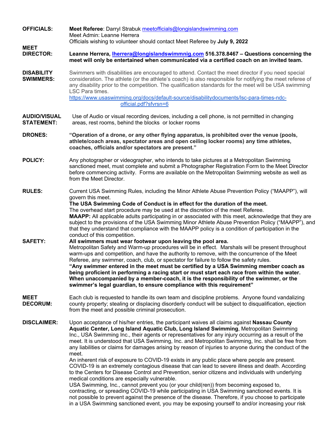| <b>OFFICIALS:</b>                        | Meet Referee: Darryl Strabuk meetofficials@longislandswimming.com<br>Meet Admin: Leanne Herrera<br>Officials wishing to volunteer should contact Meet Referee by July 9, 2022<br>Leanne Herrera, <i>Iherrera@longislandswimmnig.com</i> 516.378.8467 - Questions concerning the<br>meet will only be entertained when communicated via a certified coach on an invited team.                                                                                                                                                                                                                                                                                                                                                                                                                                                                                                                                                                                                                                                                                                                                                                                                                                                                                                             |  |  |  |
|------------------------------------------|------------------------------------------------------------------------------------------------------------------------------------------------------------------------------------------------------------------------------------------------------------------------------------------------------------------------------------------------------------------------------------------------------------------------------------------------------------------------------------------------------------------------------------------------------------------------------------------------------------------------------------------------------------------------------------------------------------------------------------------------------------------------------------------------------------------------------------------------------------------------------------------------------------------------------------------------------------------------------------------------------------------------------------------------------------------------------------------------------------------------------------------------------------------------------------------------------------------------------------------------------------------------------------------|--|--|--|
| <b>MEET</b><br><b>DIRECTOR:</b>          |                                                                                                                                                                                                                                                                                                                                                                                                                                                                                                                                                                                                                                                                                                                                                                                                                                                                                                                                                                                                                                                                                                                                                                                                                                                                                          |  |  |  |
| <b>DISABILITY</b><br><b>SWIMMERS:</b>    | Swimmers with disabilities are encouraged to attend. Contact the meet director if you need special<br>consideration. The athlete (or the athlete's coach) is also responsible for notifying the meet referee of<br>any disability prior to the competition. The qualification standards for the meet will be USA swimming<br>LSC Para times.<br>https://www.usaswimming.org/docs/default-source/disabilitydocuments/lsc-para-times-ndc-<br>official.pdf?sfvrsn=6                                                                                                                                                                                                                                                                                                                                                                                                                                                                                                                                                                                                                                                                                                                                                                                                                         |  |  |  |
| <b>AUDIO/VISUAL</b><br><b>STATEMENT:</b> | Use of Audio or visual recording devices, including a cell phone, is not permitted in changing<br>areas, rest rooms, behind the blocks or locker rooms                                                                                                                                                                                                                                                                                                                                                                                                                                                                                                                                                                                                                                                                                                                                                                                                                                                                                                                                                                                                                                                                                                                                   |  |  |  |
| <b>DRONES:</b>                           | "Operation of a drone, or any other flying apparatus, is prohibited over the venue (pools,<br>athlete/coach areas, spectator areas and open ceiling locker rooms) any time athletes,<br>coaches, officials and/or spectators are present."                                                                                                                                                                                                                                                                                                                                                                                                                                                                                                                                                                                                                                                                                                                                                                                                                                                                                                                                                                                                                                               |  |  |  |
| <b>POLICY:</b>                           | Any photographer or videographer, who intends to take pictures at a Metropolitan Swimming<br>sanctioned meet, must complete and submit a Photographer Registration Form to the Meet Director<br>before commencing activity. Forms are available on the Metropolitan Swimming website as well as<br>from the Meet Director.                                                                                                                                                                                                                                                                                                                                                                                                                                                                                                                                                                                                                                                                                                                                                                                                                                                                                                                                                               |  |  |  |
| <b>RULES:</b>                            | Current USA Swimming Rules, including the Minor Athlete Abuse Prevention Policy ("MAAPP"), will<br>govern this meet.<br>The USA Swimming Code of Conduct is in effect for the duration of the meet.<br>The overhead start procedure may be used at the discretion of the meet Referee.<br>MAAPP: All applicable adults participating in or associated with this meet, acknowledge that they are<br>subject to the provisions of the USA Swimming Minor Athlete Abuse Prevention Policy ("MAAPP"), and<br>that they understand that compliance with the MAAPP policy is a condition of participation in the<br>conduct of this competition.                                                                                                                                                                                                                                                                                                                                                                                                                                                                                                                                                                                                                                               |  |  |  |
| <b>SAFETY:</b>                           | All swimmers must wear footwear upon leaving the pool area.<br>Metropolitan Safety and Warm-up procedures will be in effect. Marshals will be present throughout<br>warm-ups and competition, and have the authority to remove, with the concurrence of the Meet<br>Referee, any swimmer, coach, club, or spectator for failure to follow the safety rules.<br>"Any swimmer entered in the meet must be certified by a USA Swimming member coach as<br>being proficient in performing a racing start or must start each race from within the water.<br>When unaccompanied by a member-coach, it is the responsibility of the swimmer, or the<br>swimmer's legal guardian, to ensure compliance with this requirement"                                                                                                                                                                                                                                                                                                                                                                                                                                                                                                                                                                    |  |  |  |
| <b>MEET</b><br><b>DECORUM:</b>           | Each club is requested to handle its own team and discipline problems. Anyone found vandalizing<br>county property; stealing or displacing disorderly conduct will be subject to disqualification, ejection<br>from the meet and possible criminal prosecution.                                                                                                                                                                                                                                                                                                                                                                                                                                                                                                                                                                                                                                                                                                                                                                                                                                                                                                                                                                                                                          |  |  |  |
| <b>DISCLAIMER:</b>                       | Upon acceptance of his/her entries, the participant waives all claims against Nassau County<br>Aquatic Center, Long Island Aquatic Club, Long Island Swimming, Metropolitan Swimming<br>Inc., USA Swimming Inc., their agents or representatives for any injury occurring as a result of the<br>meet. It is understood that USA Swimming, Inc. and Metropolitan Swimming, Inc. shall be free from<br>any liabilities or claims for damages arising by reason of injuries to anyone during the conduct of the<br>meet.<br>An inherent risk of exposure to COVID-19 exists in any public place where people are present.<br>COVID-19 is an extremely contagious disease that can lead to severe illness and death. According<br>to the Centers for Disease Control and Prevention, senior citizens and individuals with underlying<br>medical conditions are especially vulnerable.<br>USA Swimming, Inc., cannot prevent you (or your child(ren)) from becoming exposed to,<br>contracting, or spreading COVID-19 while participating in USA Swimming sanctioned events. It is<br>not possible to prevent against the presence of the disease. Therefore, if you choose to participate<br>in a USA Swimming sanctioned event, you may be exposing yourself to and/or increasing your risk |  |  |  |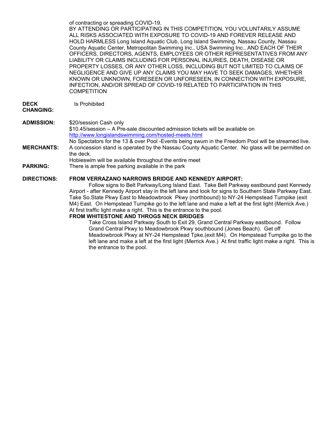of contracting or spreading COVID-19. BY ATTENDING OR PARTICIPATING IN THIS COMPETITION, YOU VOLUNTARILY ASSUME ALL RISKS ASSOCIATED WITH EXPOSURE TO COVID-19 AND FOREVER RELEASE AND HOLD HARMLESS Long Island Aquatic Club, Long Island Swimming, Nassau County, Nassau County Aquatic Center, Metropolitan Swimming Inc., USA Swimming Inc., AND EACH OF THEIR OFFICERS, DIRECTORS, AGENTS, EMPLOYEES OR OTHER REPRESENTATIVES FROM ANY LIABILITY OR CLAIMS INCLUDING FOR PERSONAL INJURIES, DEATH, DISEASE OR PROPERTY LOSSES, OR ANY OTHER LOSS, INCLUDING BUT NOT LIMITED TO CLAIMS OF NEGLIGENCE AND GIVE UP ANY CLAIMS YOU MAY HAVE TO SEEK DAMAGES, WHETHER KNOWN OR UNKNOWN, FORESEEN OR UNFORESEEN, IN CONNECTION WITH EXPOSURE, INFECTION, AND/OR SPREAD OF COVID-19 RELATED TO PARTICIPATION IN THIS **COMPETITION** 

**DECK**  Is Prohibited

#### **CHANGING:**

#### **ADMISSION:** \$20/session Cash only \$10.45/session – A Pre-sale discounted admission tickets will be available on <http://www.longislandswimming.com/hosted-meets.html> No Spectators for the 13 & over Pool -Events being swum in the Freedom Pool will be streamed live. **MERCHANTS:** A concession stand is operated by the Nassau County Aquatic Center. No glass will be permitted on the deck. Hobieswim will be available throughout the entire meet

**PARKING:** There is ample free parking available in the park

## **DIRECTIONS: FROM VERRAZANO NARROWS BRIDGE AND KENNEDY AIRPORT:**

Follow signs to Belt Parkway/Long Island East. Take Belt Parkway eastbound past Kennedy Airport - after Kennedy Airport stay in the left lane and look for signs to Southern State Parkway East. Take So.State Pkwy East to Meadowbrook Pkwy (northbound) to NY-24 Hempstead Turnpike (exit M4) East. On Hempstead Turnpike go to the left lane and make a left at the first light (Merrick Ave.) At first traffic light make a right. This is the entrance to the pool.

### **FROM WHITESTONE AND THROGS NECK BRIDGES**

Take Cross Island Parkway South to Exit 29, Grand Central Parkway eastbound. Follow Grand Central Pkwy to Meadowbrook Pkwy southbound (Jones Beach). Get off Meadowbrook Pkwy at NY-24 Hempstead Tpke.(exit M4). On Hempstead Turnpike go to the left lane and make a left at the first light (Merrick Ave.) At first traffic light make a right. This is the entrance to the pool.